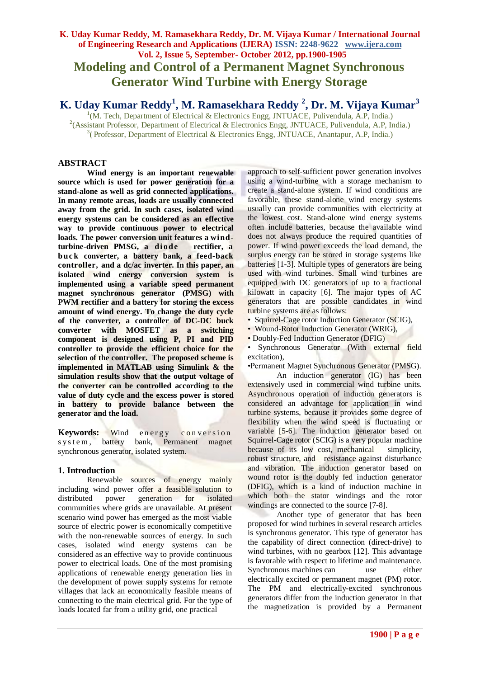# **K. Uday Kumar Reddy, M. Ramasekhara Reddy, Dr. M. Vijaya Kumar / International Journal of Engineering Research and Applications (IJERA) ISSN: 2248-9622 www.ijera.com Vol. 2, Issue 5, September- October 2012, pp.1900-1905 Modeling and Control of a Permanent Magnet Synchronous Generator Wind Turbine with Energy Storage**

**K. Uday Kumar Reddy<sup>1</sup> , M. Ramasekhara Reddy <sup>2</sup> , Dr. M. Vijaya Kumar<sup>3</sup>**

<sup>1</sup>(M. Tech, Department of Electrical & Electronics Engg, JNTUACE, Pulivendula, A.P, India.) <sup>2</sup>(Assistant Professor, Department of Electrical & Electronics Engg, JNTUACE, Pulivendula, A.P, India.) <sup>3</sup> (Professor, Department of Electrical & Electronics Engg, JNTUACE, Anantapur, A.P, India.)

# **ABSTRACT**

**Wind energy is an important renewable source which is used for power generation for a stand-alone as well as grid connected applications. In many remote areas, loads are usually connected away from the grid. In such cases, isolated wind energy systems can be considered as an effective way to provide continuous power to electrical loads. The power conversion unit features a wind**turbine-driven PMSG, a diode rectifier, a **b uc k converter, a battery bank, a feed-back controller, and a dc/ac inverter. In this paper, an isolated wind energy conversion system is implemented using a variable speed permanent magnet synchronous generator (PMSG) with PWM rectifier and a battery for storing the excess amount of wind energy. To change the duty cycle of the converter, a controller of DC-DC buck converter with MOSFET as a switching component is designed using P, PI and PID controller to provide the efficient choice for the selection of the controller. The proposed scheme is implemented in MATLAB using Simulink & the simulation results show that the output voltage of the converter can be controlled according to the value of duty cycle and the excess power is stored in battery to provide balance between the generator and the load.**

**Keywords:** Wind energy conversion<br>system, battery bank, Permanent magnet s y s t e m, battery bank, Permanent magnet synchronous generator, isolated system.

#### **1. Introduction**

Renewable sources of energy mainly including wind power offer a feasible solution to distributed power generation for isolated communities where grids are unavailable. At present scenario wind power has emerged as the most viable source of electric power is economically competitive with the non-renewable sources of energy. In such cases, isolated wind energy systems can be considered as an effective way to provide continuous power to electrical loads. One of the most promising applications of renewable energy generation lies in the development of power supply systems for remote villages that lack an economically feasible means of connecting to the main electrical grid. For the type of loads located far from a utility grid, one practical

approach to self-sufficient power generation involves using a wind-turbine with a storage mechanism to create a stand-alone system. If wind conditions are favorable, these stand-alone wind energy systems usually can provide communities with electricity at the lowest cost. Stand-alone wind energy systems often include batteries, because the available wind does not always produce the required quantities of power. If wind power exceeds the load demand, the surplus energy can be stored in storage systems like batteries [1-3]. Multiple types of generators are being used with wind turbines. Small wind turbines are equipped with DC generators of up to a fractional kilowatt in capacity [6]. The major types of AC generators that are possible candidates in wind turbine systems are as follows:

• Squirrel-Cage rotor Induction Generator (SCIG),

• Wound-Rotor Induction Generator (WRIG),

• Doubly-Fed Induction Generator (DFIG)

• Synchronous Generator (With external field excitation),

•Permanent Magnet Synchronous Generator (PMSG).

An induction generator (IG) has been extensively used in commercial wind turbine units. Asynchronous operation of induction generators is considered an advantage for application in wind turbine systems, because it provides some degree of flexibility when the wind speed is fluctuating or variable [5-6]. The induction generator based on Squirrel-Cage rotor (SCIG) is a very popular machine because of its low cost, mechanical simplicity, robust structure, and resistance against disturbance and vibration. The induction generator based on wound rotor is the doubly fed induction generator (DFIG), which is a kind of induction machine in which both the stator windings and the rotor windings are connected to the source [7-8].

Another type of generator that has been proposed for wind turbines in several research articles is synchronous generator. This type of generator has the capability of direct connection (direct-drive) to wind turbines, with no gearbox [12]. This advantage is favorable with respect to lifetime and maintenance. Synchronous machines can use either electrically excited or permanent magnet (PM) rotor. The PM and electrically-excited synchronous generators differ from the induction generator in that the magnetization is provided by a Permanent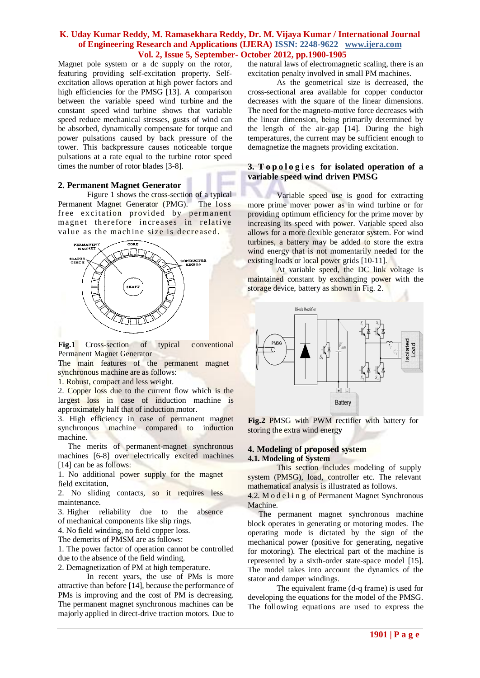Magnet pole system or a dc supply on the rotor, featuring providing self-excitation property. Selfexcitation allows operation at high power factors and high efficiencies for the PMSG [13]. A comparison between the variable speed wind turbine and the constant speed wind turbine shows that variable speed reduce mechanical stresses, gusts of wind can be absorbed, dynamically compensate for torque and power pulsations caused by back pressure of the tower. This backpressure causes noticeable torque pulsations at a rate equal to the turbine rotor speed times the number of rotor blades [3-8].

#### **2. Permanent Magnet Generator**

Figure 1 shows the cross-section of a typical Permanent Magnet Generator (PMG). The loss free excitation provided by permanent magnet therefore increases in relative value as the machine size is decreased.



Fig.1 Cross-section of typical conventional Permanent Magnet Generator

The main features of the permanent magnet synchronous machine are as follows:

1. Robust, compact and less weight.

2. Copper loss due to the current flow which is the largest loss in case of induction machine is approximately half that of induction motor.

3. High efficiency in case of permanent magnet synchronous machine compared to induction machine.

 The merits of permanent-magnet synchronous machines [6-8] over electrically excited machines [14] can be as follows:

1. No additional power supply for the magnet field excitation,

2. No sliding contacts, so it requires less maintenance.

3. Higher reliability due to the absence of mechanical components like slip rings.

4. No field winding, no field copper loss.

The demerits of PMSM are as follows:

1. The power factor of operation cannot be controlled due to the absence of the field winding,

2. Demagnetization of PM at high temperature.

In recent years, the use of PMs is more attractive than before [14], because the performance of PMs is improving and the cost of PM is decreasing. The permanent magnet synchronous machines can be majorly applied in direct-drive traction motors. Due to

the natural laws of electromagnetic scaling, there is an excitation penalty involved in small PM machines.

As the geometrical size is decreased, the cross-sectional area available for copper conductor decreases with the square of the linear dimensions. The need for the magneto-motive force decreases with the linear dimension, being primarily determined by the length of the air-gap [14]. During the high temperatures, the current may be sufficient enough to demagnetize the magnets providing excitation.

## **3. T o p o l o g i e s for isolated operation of a variable speed wind driven PMSG**

Variable speed use is good for extracting more prime mover power as in wind turbine or for providing optimum efficiency for the prime mover by increasing its speed with power. Variable speed also allows for a more flexible generator system. For wind turbines, a battery may be added to store the extra wind energy that is not momentarily needed for the existing loads or local power grids [10-11].

At variable speed, the DC link voltage is maintained constant by exchanging power with the storage device, battery as shown in Fig. 2.



**Fig.2** PMSG with PWM rectifier with battery for storing the extra wind energ**y**

#### **4. Modeling of proposed system** 4**.1. Modeling of System**

This section includes modeling of supply system (PMSG), load, controller etc. The relevant mathematical analysis is illustrated as follows.

4.2. M o d e l i n g of Permanent Magnet Synchronous Machine.

The permanent magnet synchronous machine block operates in generating or motoring modes. The operating mode is dictated by the sign of the mechanical power (positive for generating, negative for motoring). The electrical part of the machine is represented by a sixth-order state-space model [15]. The model takes into account the dynamics of the stator and damper windings.

The equivalent frame (d-q frame) is used for developing the equations for the model of the PMSG. The following equations are used to express the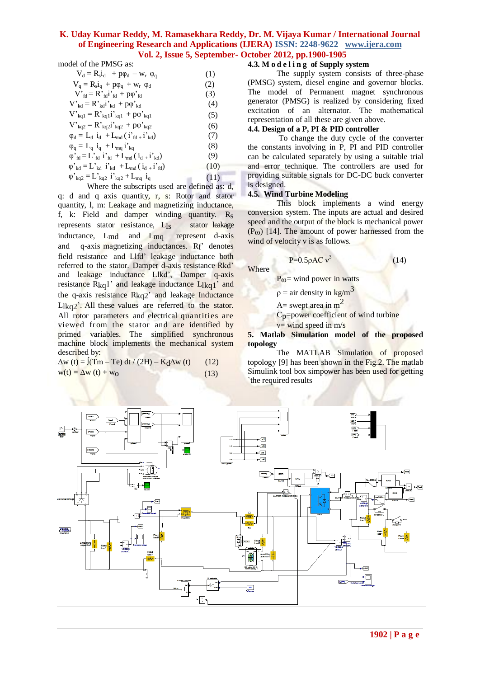model of the PMSG as:

| (1)  |
|------|
| (2)  |
| (3)  |
| (4)  |
| (5)  |
| (6)  |
| (7)  |
| (8)  |
| (9)  |
| (10) |
| (11) |
|      |

Where the subscripts used are defined as: d, q: d and q axis quantity, r, s: Rotor and stator quantity, l, m: Leakage and magnetizing inductance, f, k: Field and damper winding quantity. Rs represents stator resistance, L<sub>ls</sub> stator leakage inductance, Lmd and Lmq represent d-axis and  $q$ -axis magnetizing inductances.  $Rf'$  denotes field resistance and Llfd" leakage inductance both referred to the stator. Damper d-axis resistance Rkd" and leakage inductance Llkd", Damper q-axis resistance  $R_{kq}$ <sup>1</sup> and leakage inductance  $L_{l kq}$ <sup>1</sup> and the q-axis resistance  $R_{kq2}$ <sup>2</sup> and leakage Inductance  $L$ <sub>kq</sub><sup>2</sup>. All these values are referred to the stator. All rotor parameters and electrical quantities are viewed from the stator and are identified by primed variables. The simplified synchronous machine block implements the mechanical system described by:

 $\Delta w$  (t) =  $\int (Tm - Te) dt / (2H) - K_d \Delta w$  (t) (12)  $w(t) = \Delta w(t) + w_0$  (13)

#### **4.3. M o d e l i n g of Supply system**

The supply system consists of three-phase (PMSG) system, diesel engine and governor blocks. The model of Permanent magnet synchronous generator (PMSG) is realized by considering fixed excitation of an alternator. The mathematical representation of all these are given above.

# **4.4. Design of a P, PI & PID controller**

To change the duty cycle of the converter the constants involving in P, PI and PID controller can be calculated separately by using a suitable trial and error technique. The controllers are used for providing suitable signals for DC-DC buck converter is designed.

#### **4.5. Wind Turbine Modeling**

**Where** 

This block implements a wind energy conversion system. The inputs are actual and desired speed and the output of the block is mechanical power  $(P<sub>0</sub>)$  [14]. The amount of power harnessed from the wind of velocity v is as follows.

$$
P=0.5 \rho A C v^3
$$

$$
(14)
$$

 $P_{\omega}$ = wind power in watts

 $\rho =$  air density in kg/m<sup>3</sup>

 $A=$  swept area in  $m<sup>2</sup>$ 

Cp=power coefficient of wind turbine

 $v=$  wind speed in m/s

**5. Matlab Simulation model of the proposed topology**

The MATLAB Simulation of proposed topology [9] has been shown in the Fig.2. The matlab Simulink tool box simpower has been used for getting `the required results

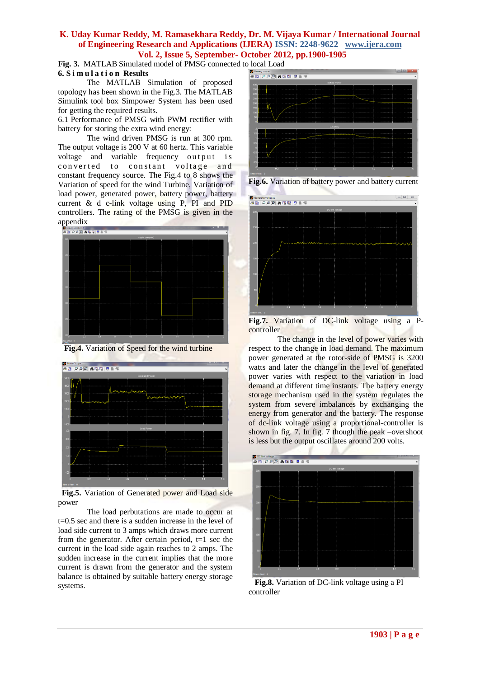**Fig. 3.** MATLAB Simulated model of PMSG connected to local Load **6. S i m u l a t i o n Results**

The MATLAB Simulation of proposed topology has been shown in the Fig.3. The MATLAB Simulink tool box Simpower System has been used for getting the required results.

6.1 Performance of PMSG with PWM rectifier with battery for storing the extra wind energy:

The wind driven PMSG is run at 300 rpm. The output voltage is 200 V at 60 hertz. This variable voltage and variable frequency output is converted to constant voltage and constant frequency source. The Fig.4 to 8 shows the Variation of speed for the wind Turbine, Variation of load power, generated power, battery power, battery current & d c-link voltage using P, PI and PID controllers. The rating of the PMSG is given in the appendix<br>**BELPPEAREL** 







 **Fig.5.** Variation of Generated power and Load side power

The load perbutations are made to occur at t=0.5 sec and there is a sudden increase in the level of load side current to 3 amps which draws more current from the generator. After certain period,  $t=1$  sec the current in the load side again reaches to 2 amps. The sudden increase in the current implies that the more current is drawn from the generator and the system balance is obtained by suitable battery energy storage systems.







**Fig.7.** Variation of DC-link voltage using a Pcontroller

The change in the level of power varies with respect to the change in load demand. The maximum power generated at the rotor-side of PMSG is 3200 watts and later the change in the level of generated power varies with respect to the variation in load demand at different time instants. The battery energy storage mechanism used in the system regulates the system from severe imbalances by exchanging the energy from generator and the battery. The response of dc-link voltage using a proportional-controller is shown in fig. 7. In fig. 7 though the peak –overshoot is less but the output oscillates around 200 volts.



 **Fig.8.** Variation of DC-link voltage using a PI controller